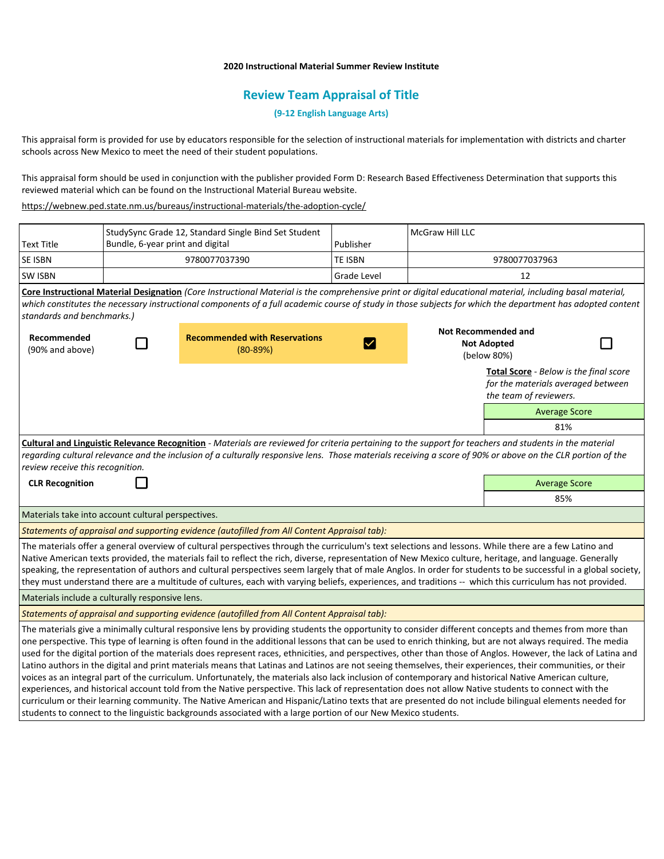# **2020 Instructional Material Summer Review Institute**

# **Review Team Appraisal of Title**

**(9-12 English Language Arts)**

This appraisal form is provided for use by educators responsible for the selection of instructional materials for implementation with districts and charter schools across New Mexico to meet the need of their student populations.

This appraisal form should be used in conjunction with the publisher provided Form D: Research Based Effectiveness Determination that supports this reviewed material which can be found on the Instructional Material Bureau website.

<https://webnew.ped.state.nm.us/bureaus/instructional-materials/the-adoption-cycle/>

|                                                                                                                                                                                                                                                                                                                                                        | StudySync Grade 12, Standard Single Bind Set Student<br>Bundle, 6-year print and digital |                                                                                                                                                                                                                                                                                                                                                                                                                                                                                                                                                                                                                                                                                                                                                                                                                                                                                                                                                                                                                                                                                                                                                                                                                                                   |                | McGraw Hill LLC |                                                                                                               |                      |  |  |
|--------------------------------------------------------------------------------------------------------------------------------------------------------------------------------------------------------------------------------------------------------------------------------------------------------------------------------------------------------|------------------------------------------------------------------------------------------|---------------------------------------------------------------------------------------------------------------------------------------------------------------------------------------------------------------------------------------------------------------------------------------------------------------------------------------------------------------------------------------------------------------------------------------------------------------------------------------------------------------------------------------------------------------------------------------------------------------------------------------------------------------------------------------------------------------------------------------------------------------------------------------------------------------------------------------------------------------------------------------------------------------------------------------------------------------------------------------------------------------------------------------------------------------------------------------------------------------------------------------------------------------------------------------------------------------------------------------------------|----------------|-----------------|---------------------------------------------------------------------------------------------------------------|----------------------|--|--|
| <b>Text Title</b>                                                                                                                                                                                                                                                                                                                                      |                                                                                          |                                                                                                                                                                                                                                                                                                                                                                                                                                                                                                                                                                                                                                                                                                                                                                                                                                                                                                                                                                                                                                                                                                                                                                                                                                                   | Publisher      |                 |                                                                                                               |                      |  |  |
| SE ISBN                                                                                                                                                                                                                                                                                                                                                | 9780077037390                                                                            |                                                                                                                                                                                                                                                                                                                                                                                                                                                                                                                                                                                                                                                                                                                                                                                                                                                                                                                                                                                                                                                                                                                                                                                                                                                   | <b>TE ISBN</b> |                 | 9780077037963                                                                                                 |                      |  |  |
| SW ISBN                                                                                                                                                                                                                                                                                                                                                |                                                                                          |                                                                                                                                                                                                                                                                                                                                                                                                                                                                                                                                                                                                                                                                                                                                                                                                                                                                                                                                                                                                                                                                                                                                                                                                                                                   | Grade Level    |                 | 12                                                                                                            |                      |  |  |
| Core Instructional Material Designation (Core Instructional Material is the comprehensive print or digital educational material, including basal material,<br>which constitutes the necessary instructional components of a full academic course of study in those subjects for which the department has adopted content<br>standards and benchmarks.) |                                                                                          |                                                                                                                                                                                                                                                                                                                                                                                                                                                                                                                                                                                                                                                                                                                                                                                                                                                                                                                                                                                                                                                                                                                                                                                                                                                   |                |                 |                                                                                                               |                      |  |  |
| Recommended<br>(90% and above)                                                                                                                                                                                                                                                                                                                         |                                                                                          | <b>Recommended with Reservations</b><br>$(80-89%)$                                                                                                                                                                                                                                                                                                                                                                                                                                                                                                                                                                                                                                                                                                                                                                                                                                                                                                                                                                                                                                                                                                                                                                                                |                |                 | <b>Not Recommended and</b><br><b>Not Adopted</b><br>(below 80%)                                               |                      |  |  |
|                                                                                                                                                                                                                                                                                                                                                        |                                                                                          |                                                                                                                                                                                                                                                                                                                                                                                                                                                                                                                                                                                                                                                                                                                                                                                                                                                                                                                                                                                                                                                                                                                                                                                                                                                   |                |                 | <b>Total Score</b> - Below is the final score<br>for the materials averaged between<br>the team of reviewers. |                      |  |  |
|                                                                                                                                                                                                                                                                                                                                                        |                                                                                          |                                                                                                                                                                                                                                                                                                                                                                                                                                                                                                                                                                                                                                                                                                                                                                                                                                                                                                                                                                                                                                                                                                                                                                                                                                                   |                |                 |                                                                                                               | <b>Average Score</b> |  |  |
|                                                                                                                                                                                                                                                                                                                                                        |                                                                                          |                                                                                                                                                                                                                                                                                                                                                                                                                                                                                                                                                                                                                                                                                                                                                                                                                                                                                                                                                                                                                                                                                                                                                                                                                                                   |                |                 |                                                                                                               | 81%                  |  |  |
| review receive this recognition.                                                                                                                                                                                                                                                                                                                       |                                                                                          | Cultural and Linguistic Relevance Recognition - Materials are reviewed for criteria pertaining to the support for teachers and students in the material<br>regarding cultural relevance and the inclusion of a culturally responsive lens. Those materials receiving a score of 90% or above on the CLR portion of the                                                                                                                                                                                                                                                                                                                                                                                                                                                                                                                                                                                                                                                                                                                                                                                                                                                                                                                            |                |                 |                                                                                                               |                      |  |  |
| <b>CLR Recognition</b>                                                                                                                                                                                                                                                                                                                                 |                                                                                          |                                                                                                                                                                                                                                                                                                                                                                                                                                                                                                                                                                                                                                                                                                                                                                                                                                                                                                                                                                                                                                                                                                                                                                                                                                                   |                |                 |                                                                                                               | <b>Average Score</b> |  |  |
|                                                                                                                                                                                                                                                                                                                                                        |                                                                                          |                                                                                                                                                                                                                                                                                                                                                                                                                                                                                                                                                                                                                                                                                                                                                                                                                                                                                                                                                                                                                                                                                                                                                                                                                                                   |                |                 |                                                                                                               | 85%                  |  |  |
| Materials take into account cultural perspectives.                                                                                                                                                                                                                                                                                                     |                                                                                          |                                                                                                                                                                                                                                                                                                                                                                                                                                                                                                                                                                                                                                                                                                                                                                                                                                                                                                                                                                                                                                                                                                                                                                                                                                                   |                |                 |                                                                                                               |                      |  |  |
|                                                                                                                                                                                                                                                                                                                                                        |                                                                                          | Statements of appraisal and supporting evidence (autofilled from All Content Appraisal tab):                                                                                                                                                                                                                                                                                                                                                                                                                                                                                                                                                                                                                                                                                                                                                                                                                                                                                                                                                                                                                                                                                                                                                      |                |                 |                                                                                                               |                      |  |  |
|                                                                                                                                                                                                                                                                                                                                                        |                                                                                          | The materials offer a general overview of cultural perspectives through the curriculum's text selections and lessons. While there are a few Latino and<br>Native American texts provided, the materials fail to reflect the rich, diverse, representation of New Mexico culture, heritage, and language. Generally<br>speaking, the representation of authors and cultural perspectives seem largely that of male Anglos. In order for students to be successful in a global society,<br>they must understand there are a multitude of cultures, each with varying beliefs, experiences, and traditions -- which this curriculum has not provided.                                                                                                                                                                                                                                                                                                                                                                                                                                                                                                                                                                                                |                |                 |                                                                                                               |                      |  |  |
| Materials include a culturally responsive lens.                                                                                                                                                                                                                                                                                                        |                                                                                          |                                                                                                                                                                                                                                                                                                                                                                                                                                                                                                                                                                                                                                                                                                                                                                                                                                                                                                                                                                                                                                                                                                                                                                                                                                                   |                |                 |                                                                                                               |                      |  |  |
|                                                                                                                                                                                                                                                                                                                                                        |                                                                                          | Statements of appraisal and supporting evidence (autofilled from All Content Appraisal tab):                                                                                                                                                                                                                                                                                                                                                                                                                                                                                                                                                                                                                                                                                                                                                                                                                                                                                                                                                                                                                                                                                                                                                      |                |                 |                                                                                                               |                      |  |  |
|                                                                                                                                                                                                                                                                                                                                                        |                                                                                          | The materials give a minimally cultural responsive lens by providing students the opportunity to consider different concepts and themes from more than<br>one perspective. This type of learning is often found in the additional lessons that can be used to enrich thinking, but are not always required. The media<br>used for the digital portion of the materials does represent races, ethnicities, and perspectives, other than those of Anglos. However, the lack of Latina and<br>Latino authors in the digital and print materials means that Latinas and Latinos are not seeing themselves, their experiences, their communities, or their<br>voices as an integral part of the curriculum. Unfortunately, the materials also lack inclusion of contemporary and historical Native American culture,<br>experiences, and historical account told from the Native perspective. This lack of representation does not allow Native students to connect with the<br>curriculum or their learning community. The Native American and Hispanic/Latino texts that are presented do not include bilingual elements needed for<br>students to connect to the linguistic backgrounds associated with a large portion of our New Mexico students. |                |                 |                                                                                                               |                      |  |  |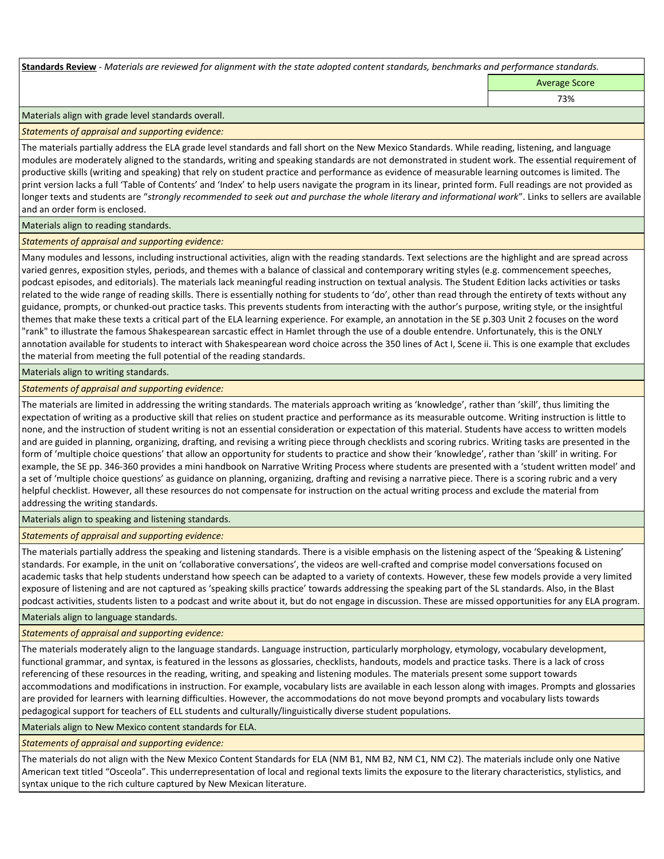**Standards Review** *- Materials are reviewed for alignment with the state adopted content standards, benchmarks and performance standards.*

Average Score

73%

### Materials align with grade level standards overall.

#### *Statements of appraisal and supporting evidence:*

The materials partially address the ELA grade level standards and fall short on the New Mexico Standards. While reading, listening, and language modules are moderately aligned to the standards, writing and speaking standards are not demonstrated in student work. The essential requirement of productive skills (writing and speaking) that rely on student practice and performance as evidence of measurable learning outcomes is limited. The print version lacks a full 'Table of Contents' and 'Index' to help users navigate the program in its linear, printed form. Full readings are not provided as longer texts and students are "*strongly recommended to seek out and purchase the whole literary and informational work*". Links to sellers are available and an order form is enclosed.

#### Materials align to reading standards.

*Statements of appraisal and supporting evidence:* 

Many modules and lessons, including instructional activities, align with the reading standards. Text selections are the highlight and are spread across varied genres, exposition styles, periods, and themes with a balance of classical and contemporary writing styles (e.g. commencement speeches, podcast episodes, and editorials). The materials lack meaningful reading instruction on textual analysis. The Student Edition lacks activities or tasks related to the wide range of reading skills. There is essentially nothing for students to 'do', other than read through the entirety of texts without any guidance, prompts, or chunked-out practice tasks. This prevents students from interacting with the author's purpose, writing style, or the insightful themes that make these texts a critical part of the ELA learning experience. For example, an annotation in the SE p.303 Unit 2 focuses on the word "rank" to illustrate the famous Shakespearean sarcastic effect in Hamlet through the use of a double entendre. Unfortunately, this is the ONLY annotation available for students to interact with Shakespearean word choice across the 350 lines of Act I, Scene ii. This is one example that excludes the material from meeting the full potential of the reading standards.

Materials align to writing standards.

*Statements of appraisal and supporting evidence:* 

The materials are limited in addressing the writing standards. The materials approach writing as 'knowledge', rather than 'skill', thus limiting the expectation of writing as a productive skill that relies on student practice and performance as its measurable outcome. Writing instruction is little to none, and the instruction of student writing is not an essential consideration or expectation of this material. Students have access to written models and are guided in planning, organizing, drafting, and revising a writing piece through checklists and scoring rubrics. Writing tasks are presented in the form of 'multiple choice questions' that allow an opportunity for students to practice and show their 'knowledge', rather than 'skill' in writing. For example, the SE pp. 346-360 provides a mini handbook on Narrative Writing Process where students are presented with a 'student written model' and a set of 'multiple choice questions' as guidance on planning, organizing, drafting and revising a narrative piece. There is a scoring rubric and a very helpful checklist. However, all these resources do not compensate for instruction on the actual writing process and exclude the material from addressing the writing standards.

Materials align to speaking and listening standards.

*Statements of appraisal and supporting evidence:* 

The materials partially address the speaking and listening standards. There is a visible emphasis on the listening aspect of the 'Speaking & Listening' standards. For example, in the unit on 'collaborative conversations', the videos are well-crafted and comprise model conversations focused on academic tasks that help students understand how speech can be adapted to a variety of contexts. However, these few models provide a very limited exposure of listening and are not captured as 'speaking skills practice' towards addressing the speaking part of the SL standards. Also, in the Blast podcast activities, students listen to a podcast and write about it, but do not engage in discussion. These are missed opportunities for any ELA program.

Materials align to language standards.

*Statements of appraisal and supporting evidence:* 

The materials moderately align to the language standards. Language instruction, particularly morphology, etymology, vocabulary development, functional grammar, and syntax, is featured in the lessons as glossaries, checklists, handouts, models and practice tasks. There is a lack of cross referencing of these resources in the reading, writing, and speaking and listening modules. The materials present some support towards accommodations and modifications in instruction. For example, vocabulary lists are available in each lesson along with images. Prompts and glossaries are provided for learners with learning difficulties. However, the accommodations do not move beyond prompts and vocabulary lists towards pedagogical support for teachers of ELL students and culturally/linguistically diverse student populations.

Materials align to New Mexico content standards for ELA.

*Statements of appraisal and supporting evidence:* 

The materials do not align with the New Mexico Content Standards for ELA (NM B1, NM B2, NM C1, NM C2). The materials include only one Native American text titled "Osceola". This underrepresentation of local and regional texts limits the exposure to the literary characteristics, stylistics, and syntax unique to the rich culture captured by New Mexican literature.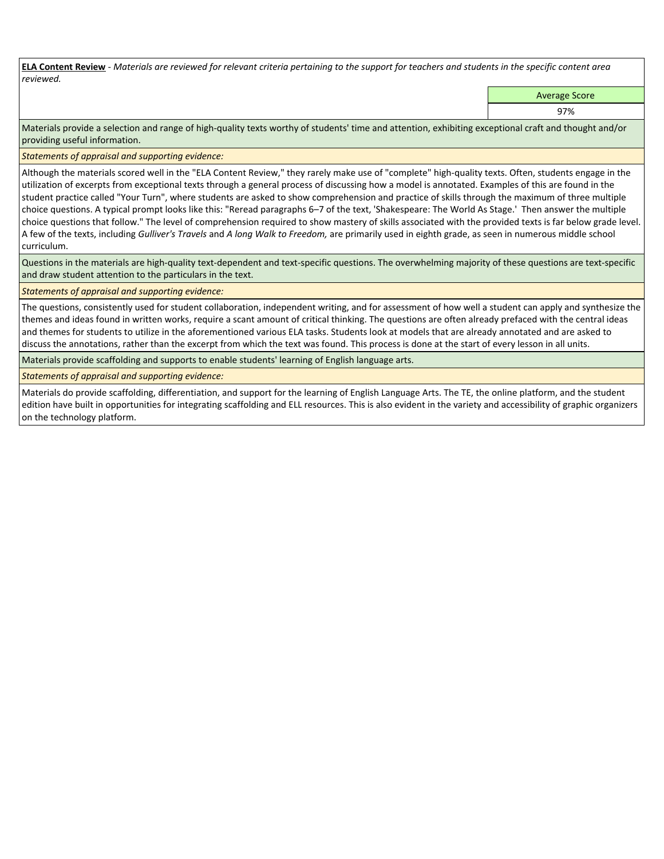**ELA Content Review** *- Materials are reviewed for relevant criteria pertaining to the support for teachers and students in the specific content area reviewed.*

Average Score

97%

Materials provide a selection and range of high-quality texts worthy of students' time and attention, exhibiting exceptional craft and thought and/or providing useful information.

*Statements of appraisal and supporting evidence:* 

Although the materials scored well in the "ELA Content Review," they rarely make use of "complete" high-quality texts. Often, students engage in the utilization of excerpts from exceptional texts through a general process of discussing how a model is annotated. Examples of this are found in the student practice called "Your Turn", where students are asked to show comprehension and practice of skills through the maximum of three multiple choice questions. A typical prompt looks like this: "Reread paragraphs 6–7 of the text, 'Shakespeare: The World As Stage.' Then answer the multiple choice questions that follow." The level of comprehension required to show mastery of skills associated with the provided texts is far below grade level. A few of the texts, including *Gulliver's Travels* and *A long Walk to Freedom,* are primarily used in eighth grade, as seen in numerous middle school curriculum.

Questions in the materials are high-quality text-dependent and text-specific questions. The overwhelming majority of these questions are text-specific and draw student attention to the particulars in the text.

*Statements of appraisal and supporting evidence:* 

The questions, consistently used for student collaboration, independent writing, and for assessment of how well a student can apply and synthesize the themes and ideas found in written works, require a scant amount of critical thinking. The questions are often already prefaced with the central ideas and themes for students to utilize in the aforementioned various ELA tasks. Students look at models that are already annotated and are asked to discuss the annotations, rather than the excerpt from which the text was found. This process is done at the start of every lesson in all units.

Materials provide scaffolding and supports to enable students' learning of English language arts.

*Statements of appraisal and supporting evidence:* 

Materials do provide scaffolding, differentiation, and support for the learning of English Language Arts. The TE, the online platform, and the student edition have built in opportunities for integrating scaffolding and ELL resources. This is also evident in the variety and accessibility of graphic organizers on the technology platform.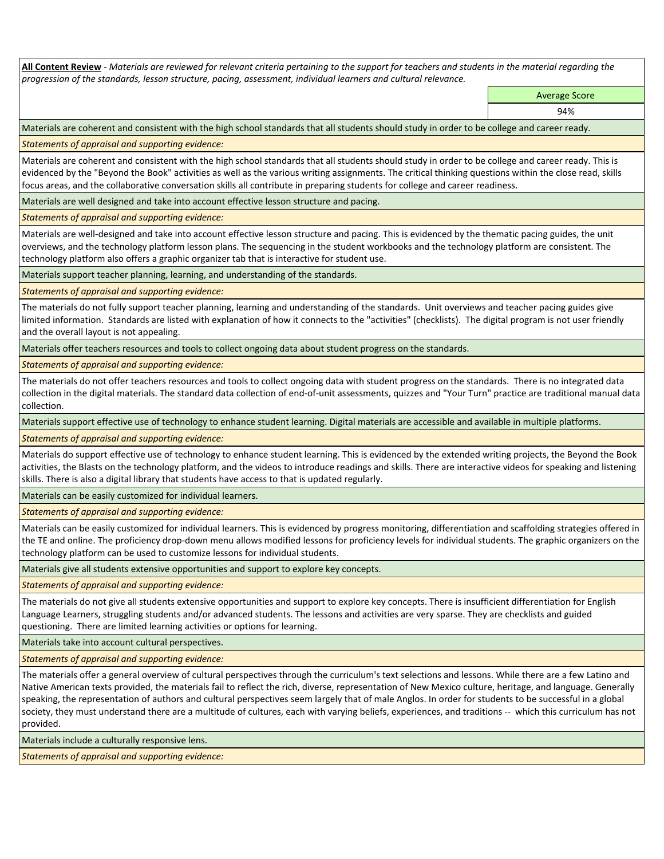**All Content Review** *- Materials are reviewed for relevant criteria pertaining to the support for teachers and students in the material regarding the progression of the standards, lesson structure, pacing, assessment, individual learners and cultural relevance.*

> Average Score 94%

Materials are coherent and consistent with the high school standards that all students should study in order to be college and career ready.

*Statements of appraisal and supporting evidence:*

Materials are coherent and consistent with the high school standards that all students should study in order to be college and career ready. This is evidenced by the "Beyond the Book" activities as well as the various writing assignments. The critical thinking questions within the close read, skills focus areas, and the collaborative conversation skills all contribute in preparing students for college and career readiness.

Materials are well designed and take into account effective lesson structure and pacing.

*Statements of appraisal and supporting evidence:*

Materials are well-designed and take into account effective lesson structure and pacing. This is evidenced by the thematic pacing guides, the unit overviews, and the technology platform lesson plans. The sequencing in the student workbooks and the technology platform are consistent. The technology platform also offers a graphic organizer tab that is interactive for student use.

Materials support teacher planning, learning, and understanding of the standards.

*Statements of appraisal and supporting evidence:*

The materials do not fully support teacher planning, learning and understanding of the standards. Unit overviews and teacher pacing guides give limited information. Standards are listed with explanation of how it connects to the "activities" (checklists). The digital program is not user friendly and the overall layout is not appealing.

Materials offer teachers resources and tools to collect ongoing data about student progress on the standards.

*Statements of appraisal and supporting evidence:*

The materials do not offer teachers resources and tools to collect ongoing data with student progress on the standards. There is no integrated data collection in the digital materials. The standard data collection of end-of-unit assessments, quizzes and "Your Turn" practice are traditional manual data collection.

Materials support effective use of technology to enhance student learning. Digital materials are accessible and available in multiple platforms.

*Statements of appraisal and supporting evidence:*

Materials do support effective use of technology to enhance student learning. This is evidenced by the extended writing projects, the Beyond the Book activities, the Blasts on the technology platform, and the videos to introduce readings and skills. There are interactive videos for speaking and listening skills. There is also a digital library that students have access to that is updated regularly.

Materials can be easily customized for individual learners.

*Statements of appraisal and supporting evidence:* 

Materials can be easily customized for individual learners. This is evidenced by progress monitoring, differentiation and scaffolding strategies offered in the TE and online. The proficiency drop-down menu allows modified lessons for proficiency levels for individual students. The graphic organizers on the technology platform can be used to customize lessons for individual students.

Materials give all students extensive opportunities and support to explore key concepts.

*Statements of appraisal and supporting evidence:*

The materials do not give all students extensive opportunities and support to explore key concepts. There is insufficient differentiation for English Language Learners, struggling students and/or advanced students. The lessons and activities are very sparse. They are checklists and guided questioning. There are limited learning activities or options for learning.

Materials take into account cultural perspectives.

*Statements of appraisal and supporting evidence:*

The materials offer a general overview of cultural perspectives through the curriculum's text selections and lessons. While there are a few Latino and Native American texts provided, the materials fail to reflect the rich, diverse, representation of New Mexico culture, heritage, and language. Generally speaking, the representation of authors and cultural perspectives seem largely that of male Anglos. In order for students to be successful in a global society, they must understand there are a multitude of cultures, each with varying beliefs, experiences, and traditions -- which this curriculum has not provided.

Materials include a culturally responsive lens.

*Statements of appraisal and supporting evidence:*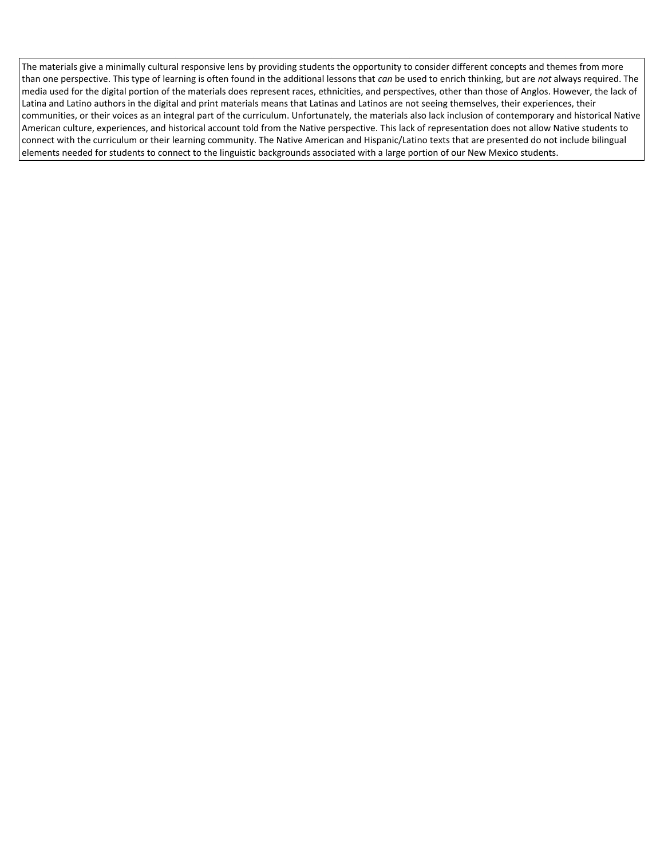The materials give a minimally cultural responsive lens by providing students the opportunity to consider different concepts and themes from more than one perspective. This type of learning is often found in the additional lessons that *can* be used to enrich thinking, but are *not* always required. The media used for the digital portion of the materials does represent races, ethnicities, and perspectives, other than those of Anglos. However, the lack of Latina and Latino authors in the digital and print materials means that Latinas and Latinos are not seeing themselves, their experiences, their communities, or their voices as an integral part of the curriculum. Unfortunately, the materials also lack inclusion of contemporary and historical Native American culture, experiences, and historical account told from the Native perspective. This lack of representation does not allow Native students to connect with the curriculum or their learning community. The Native American and Hispanic/Latino texts that are presented do not include bilingual elements needed for students to connect to the linguistic backgrounds associated with a large portion of our New Mexico students.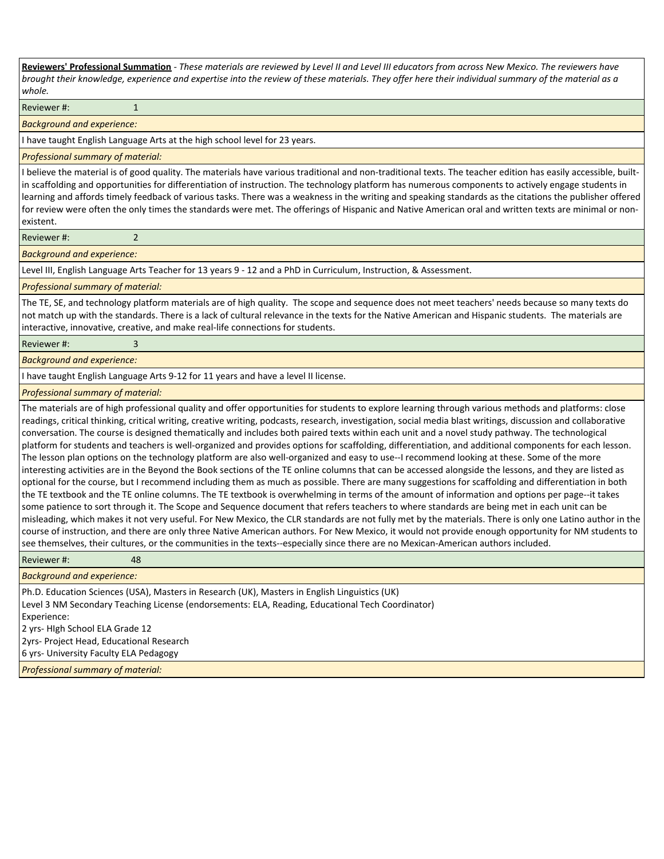**Reviewers' Professional Summation** *- These materials are reviewed by Level II and Level III educators from across New Mexico. The reviewers have brought their knowledge, experience and expertise into the review of these materials. They offer here their individual summary of the material as a whole.* Reviewer #: 1

*Background and experience:*

I have taught English Language Arts at the high school level for 23 years.

*Professional summary of material:*

I believe the material is of good quality. The materials have various traditional and non-traditional texts. The teacher edition has easily accessible, builtin scaffolding and opportunities for differentiation of instruction. The technology platform has numerous components to actively engage students in learning and affords timely feedback of various tasks. There was a weakness in the writing and speaking standards as the citations the publisher offered for review were often the only times the standards were met. The offerings of Hispanic and Native American oral and written texts are minimal or nonexistent.

Reviewer #: 2

*Background and experience:*

Level III, English Language Arts Teacher for 13 years 9 - 12 and a PhD in Curriculum, Instruction, & Assessment.

#### *Professional summary of material:*

The TE, SE, and technology platform materials are of high quality. The scope and sequence does not meet teachers' needs because so many texts do not match up with the standards. There is a lack of cultural relevance in the texts for the Native American and Hispanic students. The materials are interactive, innovative, creative, and make real-life connections for students.

Reviewer #: 3

#### *Background and experience:*

I have taught English Language Arts 9-12 for 11 years and have a level II license.

*Professional summary of material:*

The materials are of high professional quality and offer opportunities for students to explore learning through various methods and platforms: close readings, critical thinking, critical writing, creative writing, podcasts, research, investigation, social media blast writings, discussion and collaborative conversation. The course is designed thematically and includes both paired texts within each unit and a novel study pathway. The technological platform for students and teachers is well-organized and provides options for scaffolding, differentiation, and additional components for each lesson. The lesson plan options on the technology platform are also well-organized and easy to use--I recommend looking at these. Some of the more interesting activities are in the Beyond the Book sections of the TE online columns that can be accessed alongside the lessons, and they are listed as optional for the course, but I recommend including them as much as possible. There are many suggestions for scaffolding and differentiation in both the TE textbook and the TE online columns. The TE textbook is overwhelming in terms of the amount of information and options per page--it takes some patience to sort through it. The Scope and Sequence document that refers teachers to where standards are being met in each unit can be misleading, which makes it not very useful. For New Mexico, the CLR standards are not fully met by the materials. There is only one Latino author in the course of instruction, and there are only three Native American authors. For New Mexico, it would not provide enough opportunity for NM students to see themselves, their cultures, or the communities in the texts--especially since there are no Mexican-American authors included.

Reviewer #: 48

#### *Background and experience:*

Ph.D. Education Sciences (USA), Masters in Research (UK), Masters in English Linguistics (UK) Level 3 NM Secondary Teaching License (endorsements: ELA, Reading, Educational Tech Coordinator) Experience: 2 yrs- HIgh School ELA Grade 12 2yrs- Project Head, Educational Research

6 yrs- University Faculty ELA Pedagogy

*Professional summary of material:*